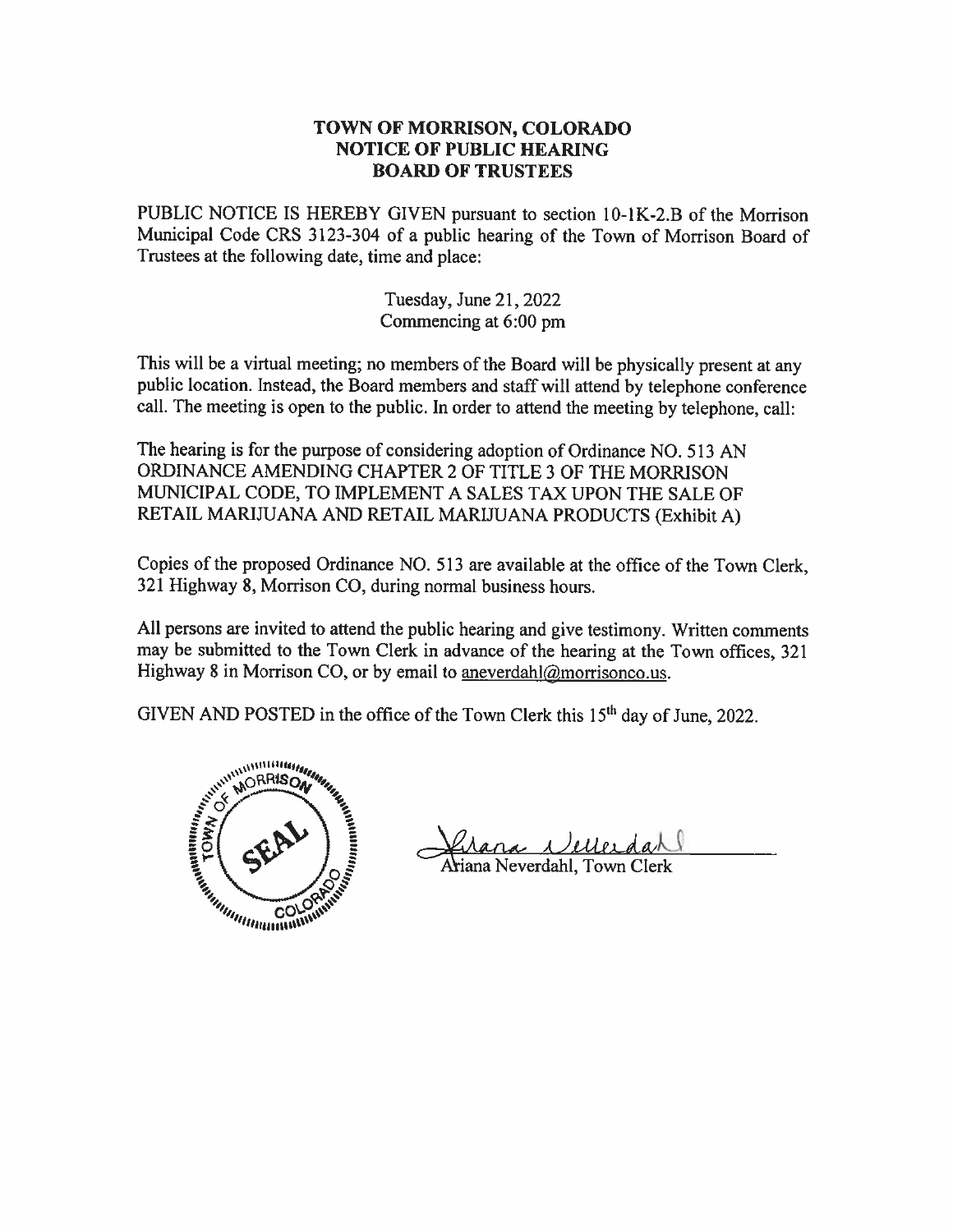## TOWN OF MORRISON, COLORADO **NOTICE OF PUBLIC HEARING BOARD OF TRUSTEES**

PUBLIC NOTICE IS HEREBY GIVEN pursuant to section 10-1K-2.B of the Morrison Municipal Code CRS 3123-304 of a public hearing of the Town of Morrison Board of Trustees at the following date, time and place:

> Tuesday, June 21, 2022 Commencing at 6:00 pm

This will be a virtual meeting; no members of the Board will be physically present at any public location. Instead, the Board members and staff will attend by telephone conference call. The meeting is open to the public. In order to attend the meeting by telephone, call:

The hearing is for the purpose of considering adoption of Ordinance NO, 513 AN ORDINANCE AMENDING CHAPTER 2 OF TITLE 3 OF THE MORRISON MUNICIPAL CODE, TO IMPLEMENT A SALES TAX UPON THE SALE OF RETAIL MARIJUANA AND RETAIL MARIJUANA PRODUCTS (Exhibit A)

Copies of the proposed Ordinance NO. 513 are available at the office of the Town Clerk, 321 Highway 8, Morrison CO, during normal business hours.

All persons are invited to attend the public hearing and give testimony. Written comments may be submitted to the Town Clerk in advance of the hearing at the Town offices, 321 Highway 8 in Morrison CO, or by email to aneverdahl@morrisonco.us.

GIVEN AND POSTED in the office of the Town Clerk this 15<sup>th</sup> day of June, 2022.



ana *Delle*Ldal<br>a Neverdahl, Town Clerk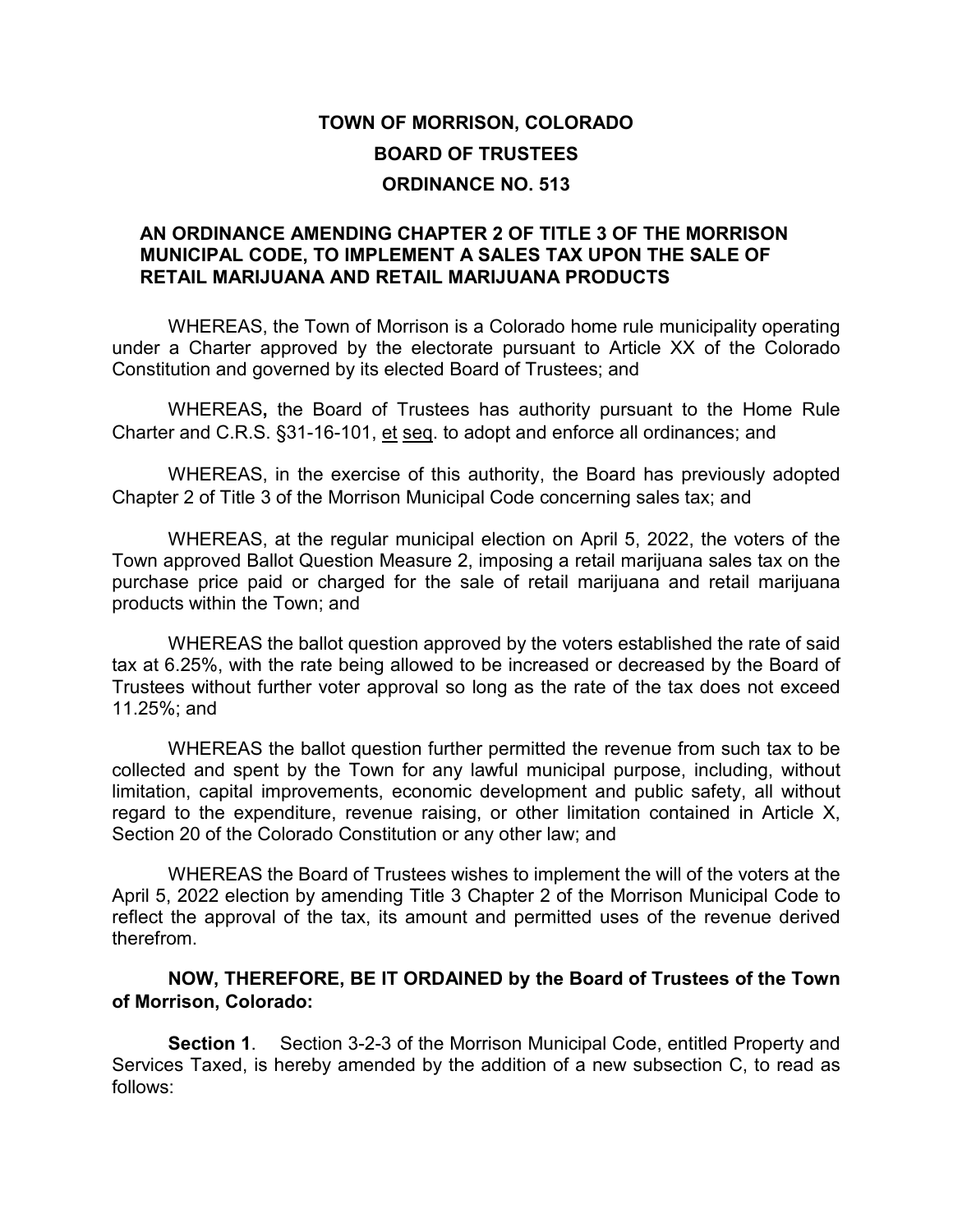## **TOWN OF MORRISON, COLORADO BOARD OF TRUSTEES ORDINANCE NO. 513**

## **AN ORDINANCE AMENDING CHAPTER 2 OF TITLE 3 OF THE MORRISON MUNICIPAL CODE, TO IMPLEMENT A SALES TAX UPON THE SALE OF RETAIL MARIJUANA AND RETAIL MARIJUANA PRODUCTS**

WHEREAS, the Town of Morrison is a Colorado home rule municipality operating under a Charter approved by the electorate pursuant to Article XX of the Colorado Constitution and governed by its elected Board of Trustees; and

WHEREAS**,** the Board of Trustees has authority pursuant to the Home Rule Charter and C.R.S. §31-16-101, et seq. to adopt and enforce all ordinances; and

WHEREAS, in the exercise of this authority, the Board has previously adopted Chapter 2 of Title 3 of the Morrison Municipal Code concerning sales tax; and

WHEREAS, at the regular municipal election on April 5, 2022, the voters of the Town approved Ballot Question Measure 2, imposing a retail marijuana sales tax on the purchase price paid or charged for the sale of retail marijuana and retail marijuana products within the Town; and

WHEREAS the ballot question approved by the voters established the rate of said tax at 6.25%, with the rate being allowed to be increased or decreased by the Board of Trustees without further voter approval so long as the rate of the tax does not exceed 11.25%; and

WHEREAS the ballot question further permitted the revenue from such tax to be collected and spent by the Town for any lawful municipal purpose, including, without limitation, capital improvements, economic development and public safety, all without regard to the expenditure, revenue raising, or other limitation contained in Article X, Section 20 of the Colorado Constitution or any other law; and

WHEREAS the Board of Trustees wishes to implement the will of the voters at the April 5, 2022 election by amending Title 3 Chapter 2 of the Morrison Municipal Code to reflect the approval of the tax, its amount and permitted uses of the revenue derived therefrom.

**NOW, THEREFORE, BE IT ORDAINED by the Board of Trustees of the Town of Morrison, Colorado:**

**Section 1**. Section 3-2-3 of the Morrison Municipal Code, entitled Property and Services Taxed, is hereby amended by the addition of a new subsection C, to read as follows: